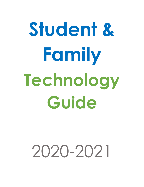# **Student & Family Technology Guide**

# 2020-2021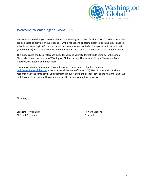

# **Welcome to Washington Global PCS!**

We are so excited that you have decided to join Washington Global for the 2020-2021 school year. We are dedicated to providing your student(s) with a robust and engaging distance learning experience this school year. Washington Global has developed a comprehensive technology platform to ensure that your student(s) will receive both *live* and *independent* instruction that will meet each student's needs.

This guide is designed as a reference guide for you and your student(s) while using both the School Chromebook and the programs Washington Global is using. This includes Google Classroom, Zoom, Nearpod, IXL, iReady, and much more!

If you have any questions about this guide, please contact our Technology Team at [tech@washingtonglobal.org.](mailto:tech@washingtonglobal.org) You can also call the main office at (202) 796-2415. You will receive a response back the same day (if you submit the request during the school day) or the next morning. We look forward to working with you and making this school year a huge success!

Sincerely,

Elizabeth Torres, Ed.D **Howard Mebane** CEO and Co-founder **Principal**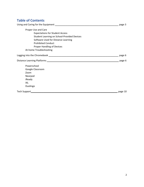# **Table of Contents**

| page 3                                             |         |
|----------------------------------------------------|---------|
| Proper Use and Care                                |         |
| <b>Expectations for Student Access</b>             |         |
| <b>Student Learning on School-Provided Devices</b> |         |
| Software Used for Distance Learning                |         |
| <b>Prohibited Conduct</b>                          |         |
| Proper Handling of Devices                         |         |
| At-home Troubleshooting                            |         |
|                                                    | page 6  |
|                                                    |         |
| Powerschool                                        |         |
| Google Classroom                                   |         |
| Zoom                                               |         |
| Nearpod                                            |         |
| iReady                                             |         |
| IXL                                                |         |
| Duolingo                                           |         |
|                                                    | page 10 |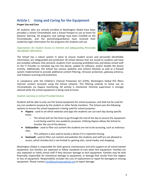# **Article I. Using and Caring for the Equipment**

#### **Proper Use and Care**

All students who are actively enrolled at Washington Global have been provided a School Chromebook and a School hotspot to use at home for distance learning. All programs and settings have been installed on the Chromebooks, and the parent(s)/guardian(s) have received their student(s) login information for the programs the students will use.



#### *Expectations for Student Access to Internet and Safeguarding Personally Identifiable Information*

The School has a robust system in place to ensure student access and personally identifiable information are safeguarded and protected. All school devices that are issued to students will have pre-installed software that prevents students from accessing prohibited sites and allows school staff or the IT Provider to remotely log into the device, update its software, and/or disable the device entirely. Additionally, the School has various websites and content blocked, as well as a firewall system implemented to provide additional content filtering, intrusion protection, gateway antivirus, and malware scanning and protection.

In compliance with the Children's Internet Protection Act (CIPA), Washington Global PCS filters internet content accessed using the School network. This filtering extends to home use on Chromebooks via Hapara monitoring. All activity is monitored. Parental supervision is strongly advised while the school equipment is being used at home.

#### *Student Learning on School-Provided Devices*

Students will be able to only use the School equipment for school purposes, and shall not be used for any non-academic purpose by the student or other family members. The School uses the following systems to ensure the school equipment is being used for school purposes:

- **Hapara** used to set which websites and apps the students can use each day during specific times.
	- The School will set the times to go through the end of the day to ensure the equipment is not being used for non-academic purposes. Utilizing Hapara allows the School to monitor the use of the devices.
- **GoGuardian** used to filter out content the students are not to be accessing, such as malicious sites.
	- This software is also used to locate a device if it is reported missing.
- **Sonicwall** used to filter out content and websites the students and staff are not allowed to access, which includes but is not limited to: gaming sites, social media, and shopping.

Washington Global is responsible for both general maintenance and tech support on all school-owned equipment, but families are expected to follow standards of care when lent equipment. Families are also expected to notify school staff if they discover damage to tech equipment. Families may be held financially responsible for intentional damage to equipment, or damage that results from the neglect or loss of equipment. Responsibility includes the cost of replacement or repair for damaged or missing equipment. Please contact [tech@washingtonglobal.org](mailto:technology@washingtonglobal.org) to report damage.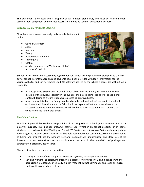The equipment is on loan and is property of Washington Global PCS, and must be returned when asked. School equipment and internet access should only be used for educational purposes.

#### *Software used for Distance Learning*

Sites that are approved on a daily basis include, but are not limited to:

- Google Classroom
- Zoom
- Nearpod
- iReady
- Achievement Network
- LearningAlly
- GetEpic
- All sites connected to Washington Global's textbooks/curriculum



School software must be accessed by login credentials, which will be provided to staff prior to the first day of school. Parents/Guardians and students have been provided with login information for the various websites and software being used. No software utilized by the School is accessible without login credentials.

- All laptops have GoGuardian installed, which allows the Technology Team to monitor the location of the device, especially in the event of the device being lost, as well as additional content filtering to ensure students are accessing approved sites.
- At no time will students or family members be able to download software onto the school equipment. Additionally, since the School utilizes Hapara to limit which websites can be accessed, students and family members will not be able to access additional software or websites on the school equipment.

#### *Prohibited Conduct*

Non-Washington Global students are prohibited from using school technology for any unauthorized or unlawful purpose. This includes unlawful internet use. Whether on school property or at home, students must adhere to the Washington Global PCS *Student Acceptable Use Policy* while using school technology and internet access. Families will be held accountable for content accessed and downloaded at home and brought into the School's network. Inappropriate, unauthorized, and illegal use of the internet or school network services and applications may result in the cancellation of privileges and appropriate disciplinary action taken.

The activities listed below are not permitted:

- Damaging or modifying computers, computer systems, or computer networks.
- Sending, viewing, or displaying offensive messages or pictures (including, but not limited to, pornographic, obscene, or sexually explicit material, sexual comments, and jokes or images that would violate school policies).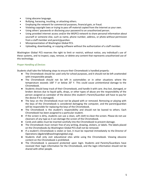- Using obscene language.
- Bullying, harassing, insulting, or attacking others.
- Employing the network for commercial purposes, financial gain, or fraud.
- Violating copyright laws or trying to pass off material copied from the Internet as your own.
- Using others' passwords or disclosing your password to an unauthorized person.
- Using provided internet access and/or the WGPCS network to share personal information about yourself or someone else, such as name, phone number, address, or photo without permission from a staff member and parent/guardian.
- Misrepresentation of Washington Global PCS.
- Uploading, downloading, or copying software without the authorization of a staff member.

Washington Global PCS reserves the right to limit or restrict, without notice, any individual's use of these systems, and to inspect, copy, remove, or delete any content that represents unauthorized use of this technology.

#### *Proper Handling of Devices*

Students shall take the following steps to ensure their Chromebook is handled properly:

- The Chromebook should be used only for school purposes, and it should not be left unattended with irresponsible people.
- The Chromebook should not be left in automobiles or in other situations where the temperature exceeds 100° F or below 20° F. This could cause unintentional damage to the Chromebook.
- Students should keep track of their Chromebook, and handle it with care. Any lost, damaged, or broken devices due to liquid spills, drops, or other types of abuse are the responsibility of the person assigned as caretaker of the device (the student's Parent/Guardian will have to pay for the device if it is damaged).
- The keys on the Chromebook must not be played with or removed. Removing or playing with the keys of the Chromebook is considered damaging the computer, and the parent/guardian will be responsible for replacing the keys of the Chromebook.
- The Chromebook is the student's responsibility and should not be loaned to others. Each Chromebook has been assigned to a particular student.
- If the screen is dirty, students can use a clean, soft cloth to clean the screen. Please do not use cleansers of any type as it can damage the screen of the Chromebook.
- Cords and cables must be inserted carefully into the Chromebook to prevent damage.
- The Chromebook must remain free of any writing, drawing, stickers, or labels. The labels placed on the Chromebooks by Washington Global PCS shall not be removed.
- If a student's Chromebook is stolen or lost, it must be reported immediately to the Director of Operations ([dgabriel@washingtonglobal.org](mailto:dgabriel@washingtonglobal.org)).
- Students shall only visit educational sites while using the Chromebook. Viewing obscene content on the Chromebook is prohibited.
- The Chromebook is password protected upon login. Students and Parents/Guardians have received their login information for the Chromebook, and the login information should not be shared with other people.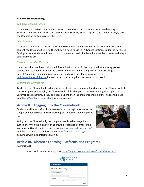#### **At-home Troubleshooting**

#### *Computer Screen is Turned*

If the screen is rotated, the student or parent/guardian can turn or rotate the screen by going to Settings. Then, click on Device. Once in the Device Settings, select Displays. Once under Displays, click the Orientation button to rotate the screen.

#### *Color Inversion*

If the color is different than it usually is, the color might have been inverted. In order to fix this, the student needs to go to Settings. Then, they will need to click on Advanced Settings. Under the Advanced Settings screen, students will need to scroll down to Accessibility. From here, students can turn the high contrast mode off.

#### *Missing Password or Username*

If a student does not have their login information for the particular program they are using, please contact their teacher directly for the password or username for the program they are using. If parents/guardians or students cannot get in touch with their teacher, please email [tech@washingtonglobal.org](mailto:tech@washingtonglobal.org) for assistance in retrieving their username or password.

#### *Charging the Chromebook*

To check if the Chromebook is charged, students will need to plug in the charger to the Chromebook. If they see a green/white light, the Chromebook is fully charged. If they see an orange/red light, the Chromebook is charging. If they do not see a light, then the charger is broken. If that happens, please email **[tech@washingtonglobal.org](mailto:tech@washingtonglobal.org)** for a replacement.

## **Article II. Logging into the Chromebook**

Students and Parents/Guardians have received the login information for Google and Powerschool in their Washington Global bag that was picked up.

To log into the Chromebook, the computer needs to be charged and turned on. When the login screen opens, the student shall enter in their Washington Global email (first name.last [name@washingtonglobal.org](mailto:name@washingtonglobal.org)) and their password. This information can be found on the 1 page document with login information on it.



# **Article III. Distance Learning Platforms and Programs**

#### **Powerschool**

1. Parents and students can log-in at <https://wgpcs.powerschool.com/public/home.html>

|                                   | Washington<br>Global<br>PUBLIC CHARTER SCHOOL |
|-----------------------------------|-----------------------------------------------|
| <b>PowerSchool SIS</b>            |                                               |
| <b>Student and Parent Sign In</b> |                                               |
| Create Account<br>Sign In         |                                               |
| Username                          |                                               |
| Password                          |                                               |
|                                   | Forgot Username or Password?                  |
|                                   | Sign In                                       |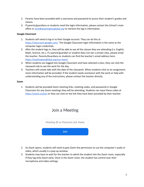- 2. Parents have been provided with a username and password to access their student's grades and classes.
- 3. If parents/guardians or students need the login information, please contact the School's main office or [tech@washingtonglobal.org](mailto:tech@washingtonglobal.org) to retrieve the log-in information.

#### **Google Classroom**

- 1. Students will need to log-in to their Google account. They can do this at [https://classroom.google.com/.](https://classroom.google.com/) The Google Classroom login information is the same as the computer login credentials.
- 2. After the student logs in, they will be able to see all the classes they are attending (i.e. English, Math, Science, etc.). If a parent/guardian or student does not see a certain class, please email the teacher. Parents/Guardians or students can find the teacher's email address here: <https://washingtonglobal.org/our-team/>
- 3. When students are logged into Google Classroom and have selected a class, they can click the classwork tab to see the work for the day.
- 4. Teachers will create tabs with the date of the classwork. When students click on an assignment, more information will be provided. If the student needs assistance with the work or help with understanding any of the instructions, please contact the teacher directly.

#### **Zoom**

1. Students will be provided Zoom meeting links, meeting codes, and passwords in Google Classroom for any Zoom meetings they will be attending. Students can input these codes at <https://zoom.us/join> or they can click on the link they have been provided by their teacher.

# Join a Meeting



- 2. As Zoom opens, students will need to give Zoom the permission to use the computer's audio or video, which usually is a pop-up window.
- 3. Students may have to wait for the teacher to admit the student into the Zoom room, especially if they log onto Zoom early. Once in the Zoom room, the student has control over their microphone and video settings.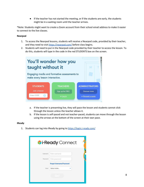● If the teacher has not started the meeting, or if the students are early, the students might be in a waiting room until the teacher arrives.

\*Note: Students might want to create a Zoom account from their school email address to make it easier to connect to the live classes.

#### **Nearpod**

- 1. To access the Nearpod lessons, students will receive a Nearpod code, provided by their teacher, and they need to visit <https://nearpod.com/> before class begins.
- 2. Students will need to put in the Nearpod code provided by their teacher to access the lesson. To do this, students will type in the code in the red STUDENTS box on the screen.

| You'll wonder how you<br>taught without it |                                             |                                               |
|--------------------------------------------|---------------------------------------------|-----------------------------------------------|
| make every lesson interactive.             | Engaging media and formative assessments to |                                               |
| <b>STUDENTS</b><br>Join a lesson           | <b>TEACHERS</b><br>Sign up for FREE         | <b>ADMINISTRATORS</b><br><b>Discover more</b> |
| Enter CODE                                 | or Log in                                   | or Request a quote                            |

- a. If the teacher is presenting live, they will pace the lesson and students cannot click through the lesson unless the teacher allows it.
- b. If the lesson is self-paced and not teacher-paced, students can move through the lesson using the arrows at the bottom of the screen at their own pace.

#### **iReady**

1. Students can log into iReady by going to <https://login.i-ready.com/>

|          | <b>Ti-Ready</b> Connect         |  |
|----------|---------------------------------|--|
| Username | Enter username                  |  |
| Password | Enter password                  |  |
|          | <b>Forgot Username/Password</b> |  |
| State    | Select state                    |  |
|          | Go!                             |  |
|          |                                 |  |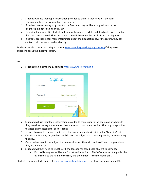- 2. Students will use their login information provided to them. If they have lost the login information then they can contact their teacher.
- 3. If students are accessing programs for the first time, they will be prompted to take the diagnostic in both Reading and Math.
- 4. Following the diagnostic, students will be able to complete Math and Reading lessons based on their instructional level. Their instructional level is based on the results from the diagnostic.
- 5. If parents are looking for more information about the diagnostic and/or the results, they can contact their student's teacher directly.

Students can also contact Ms. Magassouba at **[omagassouba@washingtonglobal.org](mailto:omagassouba@washingtonglobal.org)** if they have questions about the iReady program.

#### **IXL**

|          | Sign in          |
|----------|------------------|
| Username | Forgot username? |
| Password | Forgot password? |
|          |                  |
| Sign in  | Remember         |

1. Students can log into IXL by going to <https://www.ixl.com/signin>

- 2. Students will use their login information provided to them prior to the beginning of school. If they have lost the login information then they can contact their teacher. This program provides targeted online lessons for each student.
- 3. In order to complete lessons in IXL, after logging in, students will click on the "Learning" tab.
- 4. Once in the Learning tab, students will click on the subject that they are planning on completing that day.
- 5. Once students are in the subject they are working on, they will need to click on the grade level they are working on.
- 6. Students will then need to find the skill the teacher has asked each student to complete.
	- a. Most skills assigned will be in a format similar to 6.A.1. The "6" references the grade, the letter refers to the name of the skill, and the number is the individual skill.

Students can contact Mr. Polizzi at [cpolizzi@washingtonglobal.org](mailto:cpolizzi@washingtonglobal.org) if they have questions about IXL.